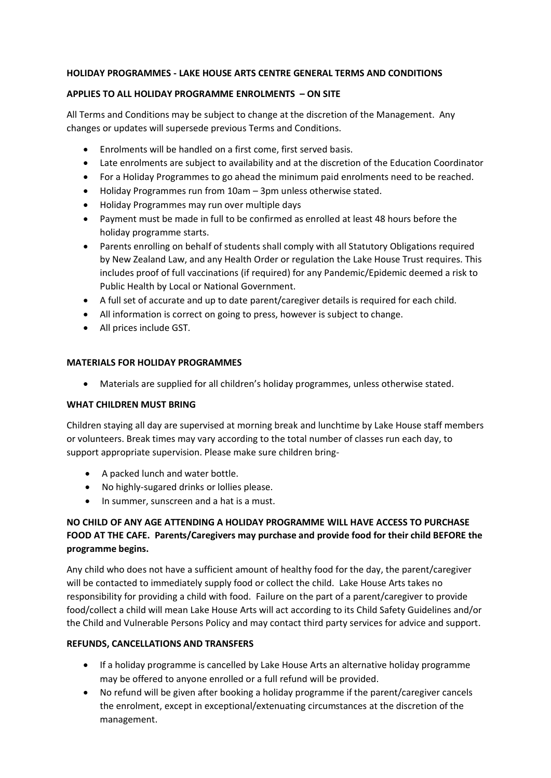# **HOLIDAY PROGRAMMES - LAKE HOUSE ARTS CENTRE GENERAL TERMS AND CONDITIONS**

# **APPLIES TO ALL HOLIDAY PROGRAMME ENROLMENTS – ON SITE**

All Terms and Conditions may be subject to change at the discretion of the Management. Any changes or updates will supersede previous Terms and Conditions.

- Enrolments will be handled on a first come, first served basis.
- Late enrolments are subject to availability and at the discretion of the Education Coordinator
- For a Holiday Programmes to go ahead the minimum paid enrolments need to be reached.
- Holiday Programmes run from 10am 3pm unless otherwise stated.
- Holiday Programmes may run over multiple days
- Payment must be made in full to be confirmed as enrolled at least 48 hours before the holiday programme starts.
- Parents enrolling on behalf of students shall comply with all Statutory Obligations required by New Zealand Law, and any Health Order or regulation the Lake House Trust requires. This includes proof of full vaccinations (if required) for any Pandemic/Epidemic deemed a risk to Public Health by Local or National Government.
- A full set of accurate and up to date parent/caregiver details is required for each child.
- All information is correct on going to press, however is subject to change.
- All prices include GST.

# **MATERIALS FOR HOLIDAY PROGRAMMES**

• Materials are supplied for all children's holiday programmes, unless otherwise stated.

#### **WHAT CHILDREN MUST BRING**

Children staying all day are supervised at morning break and lunchtime by Lake House staff members or volunteers. Break times may vary according to the total number of classes run each day, to support appropriate supervision. Please make sure children bring-

- A packed lunch and water bottle.
- No highly-sugared drinks or lollies please.
- In summer, sunscreen and a hat is a must.

# **NO CHILD OF ANY AGE ATTENDING A HOLIDAY PROGRAMME WILL HAVE ACCESS TO PURCHASE FOOD AT THE CAFE. Parents/Caregivers may purchase and provide food for their child BEFORE the programme begins.**

Any child who does not have a sufficient amount of healthy food for the day, the parent/caregiver will be contacted to immediately supply food or collect the child. Lake House Arts takes no responsibility for providing a child with food. Failure on the part of a parent/caregiver to provide food/collect a child will mean Lake House Arts will act according to its Child Safety Guidelines and/or the Child and Vulnerable Persons Policy and may contact third party services for advice and support.

# **REFUNDS, CANCELLATIONS AND TRANSFERS**

- If a holiday programme is cancelled by Lake House Arts an alternative holiday programme may be offered to anyone enrolled or a full refund will be provided.
- No refund will be given after booking a holiday programme if the parent/caregiver cancels the enrolment, except in exceptional/extenuating circumstances at the discretion of the management.